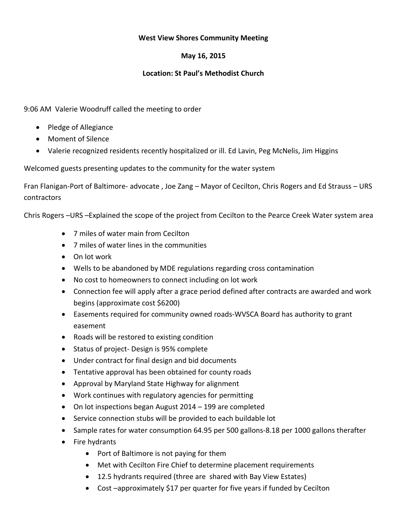## **West View Shores Community Meeting**

# **May 16, 2015**

## **Location: St Paul's Methodist Church**

## 9:06 AM Valerie Woodruff called the meeting to order

- Pledge of Allegiance
- Moment of Silence
- Valerie recognized residents recently hospitalized or ill. Ed Lavin, Peg McNelis, Jim Higgins

Welcomed guests presenting updates to the community for the water system

Fran Flanigan-Port of Baltimore- advocate , Joe Zang – Mayor of Cecilton, Chris Rogers and Ed Strauss – URS contractors

Chris Rogers –URS –Explained the scope of the project from Cecilton to the Pearce Creek Water system area

- 7 miles of water main from Cecilton
- 7 miles of water lines in the communities
- $\bullet$  On lot work
- Wells to be abandoned by MDE regulations regarding cross contamination
- No cost to homeowners to connect including on lot work
- Connection fee will apply after a grace period defined after contracts are awarded and work begins (approximate cost \$6200)
- Easements required for community owned roads-WVSCA Board has authority to grant easement
- Roads will be restored to existing condition
- Status of project- Design is 95% complete
- Under contract for final design and bid documents
- Tentative approval has been obtained for county roads
- Approval by Maryland State Highway for alignment
- Work continues with regulatory agencies for permitting
- On lot inspections began August 2014 199 are completed
- Service connection stubs will be provided to each buildable lot
- Sample rates for water consumption 64.95 per 500 gallons-8.18 per 1000 gallons therafter
- $\bullet$  Fire hydrants
	- Port of Baltimore is not paying for them
	- Met with Cecilton Fire Chief to determine placement requirements
	- 12.5 hydrants required (three are shared with Bay View Estates)
	- Cost –approximately \$17 per quarter for five years if funded by Cecilton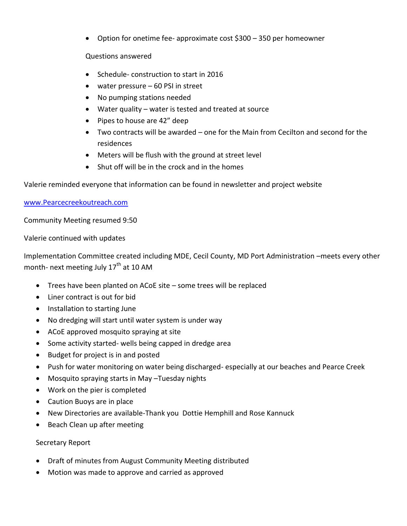• Option for onetime fee- approximate cost  $$300 - 350$  per homeowner

## Questions answered

- Schedule- construction to start in 2016
- $\bullet$  water pressure 60 PSI in street
- No pumping stations needed
- $\bullet$  Water quality water is tested and treated at source
- Pipes to house are 42" deep
- $\bullet$  Two contracts will be awarded one for the Main from Cecilton and second for the residences
- Meters will be flush with the ground at street level
- $\bullet$  Shut off will be in the crock and in the homes

Valerie reminded everyone that information can be found in newsletter and project website

## [www.Pearcecreekoutreach.com](http://www.pearcecreekoutreach.com/)

Community Meeting resumed 9:50

Valerie continued with updates

Implementation Committee created including MDE, Cecil County, MD Port Administration –meets every other month- next meeting July  $17<sup>th</sup>$  at 10 AM

- $\bullet$  Trees have been planted on ACoE site some trees will be replaced
- $\bullet$  Liner contract is out for bid
- Installation to starting June
- No dredging will start until water system is under way
- ACoE approved mosquito spraying at site
- Some activity started- wells being capped in dredge area
- Budget for project is in and posted
- Push for water monitoring on water being discharged- especially at our beaches and Pearce Creek
- Mosquito spraying starts in May –Tuesday nights
- Work on the pier is completed
- Caution Buoys are in place
- New Directories are available-Thank you Dottie Hemphill and Rose Kannuck
- Beach Clean up after meeting

# Secretary Report

- Draft of minutes from August Community Meeting distributed
- Motion was made to approve and carried as approved